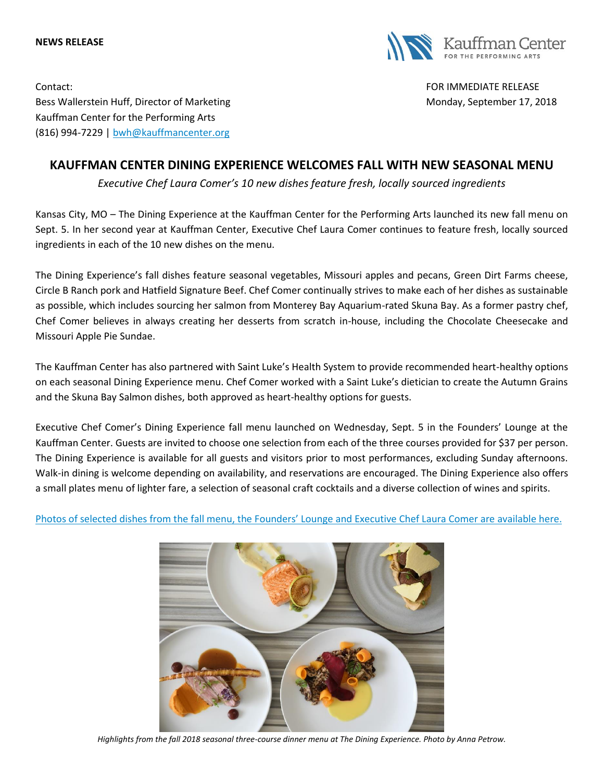



Contact: FOR IMMEDIATE RELEASE Bess Wallerstein Huff, Director of Marketing Monday, September 17, 2018 Kauffman Center for the Performing Arts (816) 994-7229 | [bwh@kauffmancenter.org](mailto:bwh@kauffmancenter.org)

# **KAUFFMAN CENTER DINING EXPERIENCE WELCOMES FALL WITH NEW SEASONAL MENU**

*Executive Chef Laura Comer's 10 new dishes feature fresh, locally sourced ingredients* 

Kansas City, MO – The Dining Experience at the Kauffman Center for the Performing Arts launched its new fall menu on Sept. 5. In her second year at Kauffman Center, Executive Chef Laura Comer continues to feature fresh, locally sourced ingredients in each of the 10 new dishes on the menu.

The Dining Experience's fall dishes feature seasonal vegetables, Missouri apples and pecans, Green Dirt Farms cheese, Circle B Ranch pork and Hatfield Signature Beef. Chef Comer continually strives to make each of her dishes as sustainable as possible, which includes sourcing her salmon from Monterey Bay Aquarium-rated Skuna Bay. As a former pastry chef, Chef Comer believes in always creating her desserts from scratch in-house, including the Chocolate Cheesecake and Missouri Apple Pie Sundae.

The Kauffman Center has also partnered with Saint Luke's Health System to provide recommended heart-healthy options on each seasonal Dining Experience menu. Chef Comer worked with a Saint Luke's dietician to create the Autumn Grains and the Skuna Bay Salmon dishes, both approved as heart-healthy options for guests.

Executive Chef Comer's Dining Experience fall menu launched on Wednesday, Sept. 5 in the Founders' Lounge at the Kauffman Center. Guests are invited to choose one selection from each of the three courses provided for \$37 per person. The Dining Experience is available for all guests and visitors prior to most performances, excluding Sunday afternoons. Walk-in dining is welcome depending on availability, and reservations are encouraged. The Dining Experience also offers a small plates menu of lighter fare, a selection of seasonal craft cocktails and a diverse collection of wines and spirits.

Photos of selected dishes from the fall menu[, the Founders' Lounge and Executive Chef Laura Comer are](https://www.flickr.com/photos/kauffmancenter/albums/72157688127131514) available here.



*Highlights from the fall 2018 seasonal three-course dinner menu at The Dining Experience. Photo by Anna Petrow.*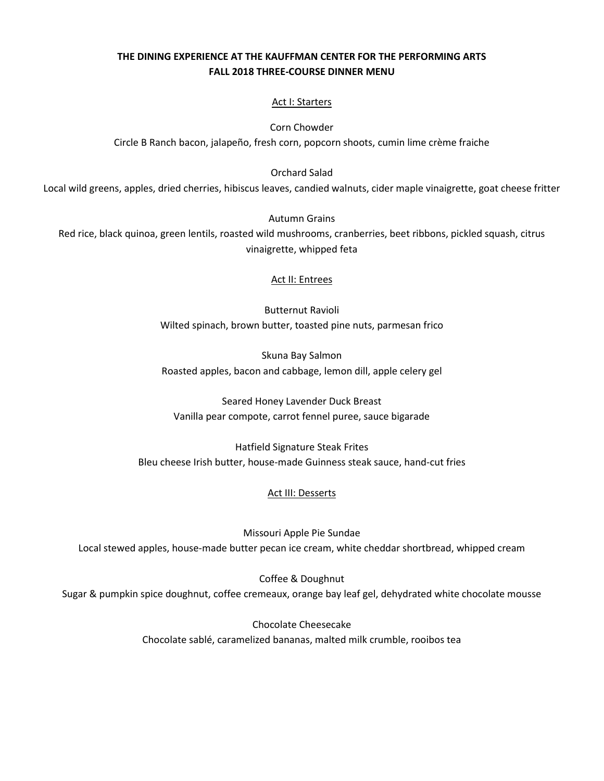## **THE DINING EXPERIENCE AT THE KAUFFMAN CENTER FOR THE PERFORMING ARTS FALL 2018 THREE-COURSE DINNER MENU**

### Act I: Starters

Corn Chowder Circle B Ranch bacon, jalapeño, fresh corn, popcorn shoots, cumin lime crème fraiche

Orchard Salad

Local wild greens, apples, dried cherries, hibiscus leaves, candied walnuts, cider maple vinaigrette, goat cheese fritter

Autumn Grains

Red rice, black quinoa, green lentils, roasted wild mushrooms, cranberries, beet ribbons, pickled squash, citrus vinaigrette, whipped feta

### Act II: Entrees

Butternut Ravioli Wilted spinach, brown butter, toasted pine nuts, parmesan frico

Skuna Bay Salmon Roasted apples, bacon and cabbage, lemon dill, apple celery gel

Seared Honey Lavender Duck Breast Vanilla pear compote, carrot fennel puree, sauce bigarade

Hatfield Signature Steak Frites Bleu cheese Irish butter, house-made Guinness steak sauce, hand-cut fries

### Act III: Desserts

Missouri Apple Pie Sundae Local stewed apples, house-made butter pecan ice cream, white cheddar shortbread, whipped cream

Coffee & Doughnut Sugar & pumpkin spice doughnut, coffee cremeaux, orange bay leaf gel, dehydrated white chocolate mousse

> Chocolate Cheesecake Chocolate sablé, caramelized bananas, malted milk crumble, rooibos tea